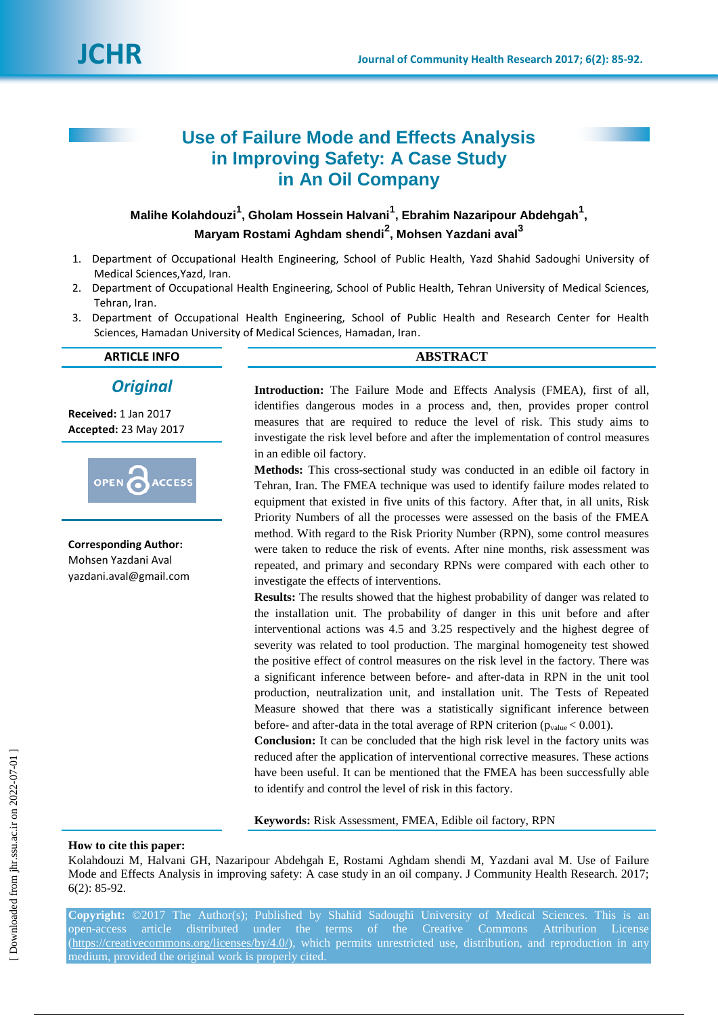# **Use of Failure Mode and Effects Analysis in Improving Safety: A Case Study in An Oil Company**

**Malihe Kolahdouzi<sup>1</sup> , Gholam Hossein Halvani<sup>1</sup> , Ebrahim Nazaripour Abdehgah<sup>1</sup> , Maryam Rostami Aghdam shendi<sup>2</sup> , Mohsen Yazdani aval<sup>3</sup>**

- 1. Department of Occupational Health Engineering, School of Public Health, Yazd Shahid Sadoughi University of Medical Sciences,Yazd, Iran.
- 2. Department of Occupational Health Engineering, School of Public Health, Tehran University of Medical Sciences, Tehran, Iran.
- 3. Department of Occupational Health Engineering, School of Public Health and Research Center for Health Sciences, Hamadan University of Medical Sciences, Hamadan, Iran.

*Original*

**Received:** 1 Jan 2017 **Accepted:** 23 May 2017



**Corresponding Author:** Mohsen Yazdani Aval yazdani.aval@gmail.com

# **ARTICLE INFO ABSTRACT**

**Introduction:** The Failure Mode and Effects Analysis (FMEA), first of all, identifies dangerous modes in a process and, then, provides proper control measures that are required to reduce the level of risk. This study aims to investigate the risk level before and after the implementation of control measures in an edible oil factory.

**Methods:** This cross-sectional study was conducted in an edible oil factory in Tehran, Iran. The FMEA technique was used to identify failure modes related to equipment that existed in five units of this factory. After that, in all units, Risk Priority Numbers of all the processes were assessed on the basis of the FMEA method. With regard to the Risk Priority Number (RPN), some control measures were taken to reduce the risk of events. After nine months, risk assessment was repeated, and primary and secondary RPNs were compared with each other to investigate the effects of interventions.

**Results:** The results showed that the highest probability of danger was related to the installation unit. The probability of danger in this unit before and after interventional actions was 4.5 and 3.25 respectively and the highest degree of severity was related to tool production. The marginal homogeneity test showed the positive effect of control measures on the risk level in the factory. There was a significant inference between before- and after-data in RPN in the unit tool production, neutralization unit, and installation unit. The Tests of Repeated Measure showed that there was a statistically significant inference between before- and after-data in the total average of RPN criterion ( $p_{value}$  < 0.001).

**Conclusion:** It can be concluded that the high risk level in the factory units was reduced after the application of interventional corrective measures. These actions have been useful. It can be mentioned that the FMEA has been successfully able to identify and control the level of risk in this factory.

**Keywords:** Risk Assessment, FMEA, Edible oil factory, RPN

#### **How to cite this paper:**

Kolahdouzi M, Halvani GH, Nazaripour Abdehgah E, Rostami Aghdam shendi M, Yazdani aval M. Use of Failure Mode and Effects Analysis in improving safety: A case study in an oil company. J Community Health Research. 2017; 6(2): 85-92.

**Copyright:** ©2017 The Author(s); Published by Shahid Sadoughi University of Medical Sciences. This is an open-access article distributed under the terms of the Creative Commons Attribution License (https://creativecommons.org/licenses/by/4.0/), which permits unrestricted use, distribution, and reproduction in any medium, provided the original work is properly cited.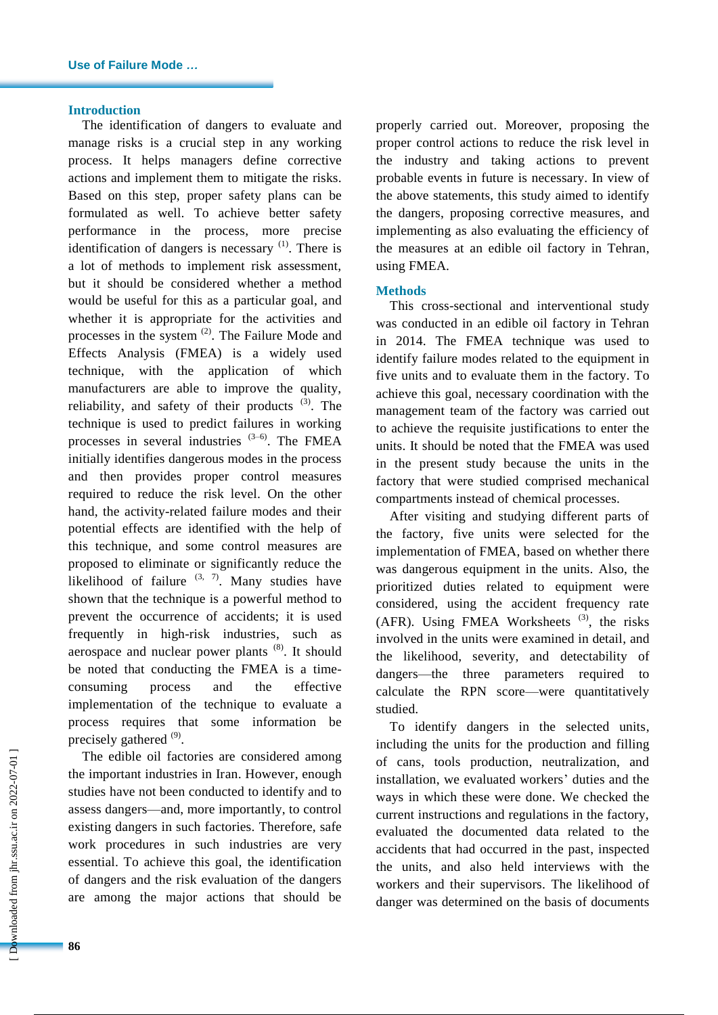### **Introduction**

The identification of dangers to evaluate and manage risks is a crucial step in any working process. It helps managers define corrective actions and implement them to mitigate the risks. Based on this step, proper safety plans can be formulated as well. To achieve better safety performance in the process, more precise identification of dangers is necessary  $(1)$ . There is a lot of methods to implement risk assessment, but it should be considered whether a method would be useful for this as a particular goal, and whether it is appropriate for the activities and processes in the system  $(2)$ . The Failure Mode and Effects Analysis (FMEA) is a widely used technique, with the application of which manufacturers are able to improve the quality, reliability, and safety of their products  $(3)$ . The technique is used to predict failures in working processes in several industries  $(3-6)$ . The FMEA initially identifies dangerous modes in the process and then provides proper control measures required to reduce the risk level. On the other hand, the activity-related failure modes and their potential effects are identified with the help of this technique, and some control measures are proposed to eliminate or significantly reduce the likelihood of failure  $(3, 7)$ . Many studies have shown that the technique is a powerful method to prevent the occurrence of accidents; it is used frequently in high-risk industries, such as aerospace and nuclear power plants  $(8)$ . It should be noted that conducting the FMEA is a timeconsuming process and the effective implementation of the technique to evaluate a process requires that some information be precisely gathered <sup>(9)</sup>.

The edible oil factories are considered among the important industries in Iran. However, enough studies have not been conducted to identify and to assess dangers—and, more importantly, to control existing dangers in such factories. Therefore, safe work procedures in such industries are very essential. To achieve this goal, the identification of dangers and the risk evaluation of the dangers are among the major actions that should be

properly carried out. Moreover, proposing the proper control actions to reduce the risk level in the industry and taking actions to prevent probable events in future is necessary. In view of the above statements, this study aimed to identify the dangers, proposing corrective measures, and implementing as also evaluating the efficiency of the measures at an edible oil factory in Tehran, using FMEA.

### **Methods**

This cross-sectional and interventional study was conducted in an edible oil factory in Tehran in 2014. The FMEA technique was used to identify failure modes related to the equipment in five units and to evaluate them in the factory. To achieve this goal, necessary coordination with the management team of the factory was carried out to achieve the requisite justifications to enter the units. It should be noted that the FMEA was used in the present study because the units in the factory that were studied comprised mechanical compartments instead of chemical processes.

After visiting and studying different parts of the factory, five units were selected for the implementation of FMEA, based on whether there was dangerous equipment in the units. Also, the prioritized duties related to equipment were considered, using the accident frequency rate  $(AFR)$ . Using FMEA Worksheets<sup>(3)</sup>, the risks involved in the units were examined in detail, and the likelihood, severity, and detectability of dangers—the three parameters required to calculate the RPN score—were quantitatively studied.

To identify dangers in the selected units, including the units for the production and filling of cans, tools production, neutralization, and installation, we evaluated workers' duties and the ways in which these were done. We checked the current instructions and regulations in the factory, evaluated the documented data related to the accidents that had occurred in the past, inspected the units, and also held interviews with the workers and their supervisors. The likelihood of danger was determined on the basis of documents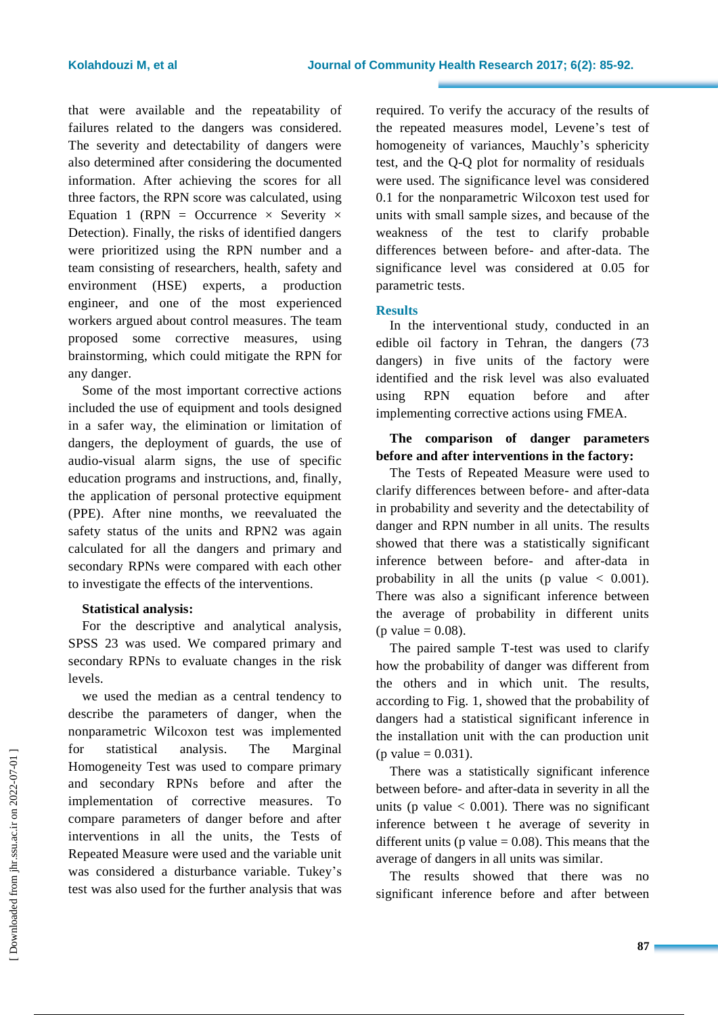that were available and the repeatability of failures related to the dangers was considered. The severity and detectability of dangers were also determined after considering the documented information. After achieving the scores for all three factors, the RPN score was calculated, using Equation 1 (RPN = Occurrence  $\times$  Severity  $\times$ Detection). Finally, the risks of identified dangers were prioritized using the RPN number and a team consisting of researchers, health, safety and environment (HSE) experts, a production engineer, and one of the most experienced workers argued about control measures. The team proposed some corrective measures, using brainstorming, which could mitigate the RPN for any danger.

Some of the most important corrective actions included the use of equipment and tools designed in a safer way, the elimination or limitation of dangers, the deployment of guards, the use of audio-visual alarm signs, the use of specific education programs and instructions, and, finally, the application of personal protective equipment (PPE). After nine months, we reevaluated the safety status of the units and RPN2 was again calculated for all the dangers and primary and secondary RPNs were compared with each other to investigate the effects of the interventions.

### **Statistical analysis:**

For the descriptive and analytical analysis, SPSS 23 was used. We compared primary and secondary RPNs to evaluate changes in the risk levels.

we used the median as a central tendency to describe the parameters of danger, when the nonparametric Wilcoxon test was implemented for statistical analysis. The Marginal Homogeneity Test was used to compare primary and secondary RPNs before and after the implementation of corrective measures. To compare parameters of danger before and after interventions in all the units, the Tests of Repeated Measure were used and the variable unit was considered a disturbance variable. Tukey's test was also used for the further analysis that was required. To verify the accuracy of the results of the repeated measures model, Levene's test of homogeneity of variances, Mauchly's sphericity test, and the Q-Q plot for normality of residuals were used. The significance level was considered 0.1 for the nonparametric Wilcoxon test used for units with small sample sizes, and because of the weakness of the test to clarify probable differences between before- and after-data. The significance level was considered at 0.05 for parametric tests.

### **Results**

In the interventional study, conducted in an edible oil factory in Tehran, the dangers (73 dangers) in five units of the factory were identified and the risk level was also evaluated using RPN equation before and after implementing corrective actions using FMEA.

## **The comparison of danger parameters before and after interventions in the factory:**

The Tests of Repeated Measure were used to clarify differences between before- and after-data in probability and severity and the detectability of danger and RPN number in all units. The results showed that there was a statistically significant inference between before- and after-data in probability in all the units (p value  $\langle 0.001 \rangle$ ). There was also a significant inference between the average of probability in different units (p value  $= 0.08$ ).

The paired sample T-test was used to clarify how the probability of danger was different from the others and in which unit. The results, according to Fig. 1, showed that the probability of dangers had a statistical significant inference in the installation unit with the can production unit (p value =  $0.031$ ).

There was a statistically significant inference between before- and after-data in severity in all the units (p value  $< 0.001$ ). There was no significant inference between t he average of severity in different units (p value  $= 0.08$ ). This means that the average of dangers in all units was similar.

The results showed that there was no significant inference before and after between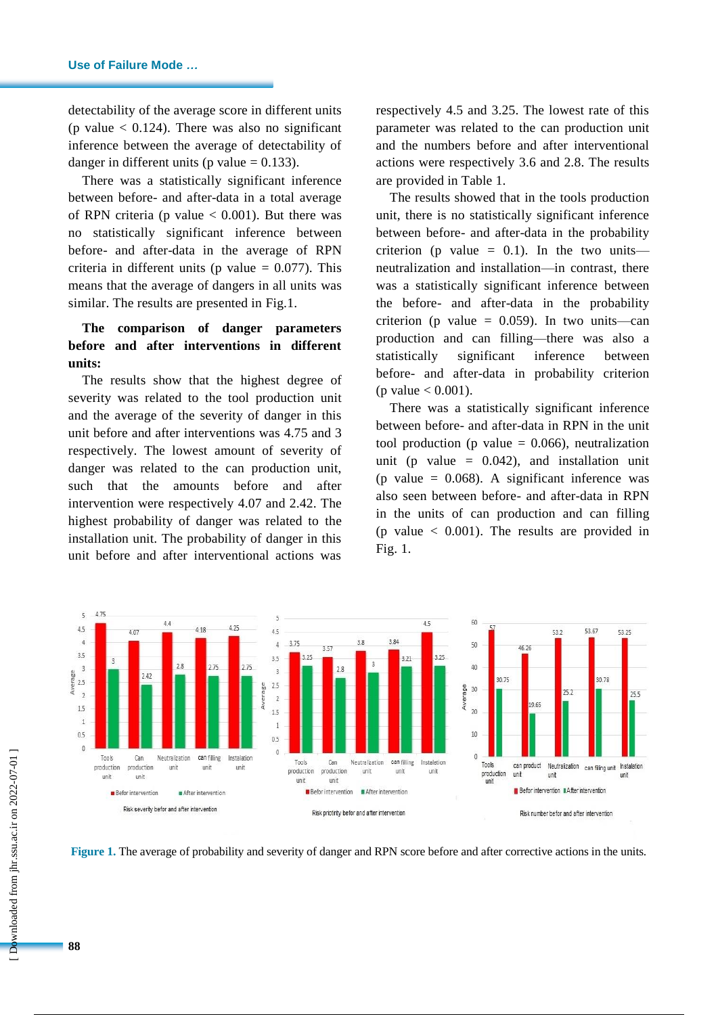detectability of the average score in different units (p value  $< 0.124$ ). There was also no significant inference between the average of detectability of danger in different units (p value  $= 0.133$ ).

There was a statistically significant inference between before- and after-data in a total average of RPN criteria (p value  $< 0.001$ ). But there was no statistically significant inference between before- and after-data in the average of RPN criteria in different units ( $p$  value = 0.077). This means that the average of dangers in all units was similar. The results are presented in Fig.1.

# **The comparison of danger parameters before and after interventions in different units:**

The results show that the highest degree of severity was related to the tool production unit and the average of the severity of danger in this unit before and after interventions was 4.75 and 3 respectively. The lowest amount of severity of danger was related to the can production unit, such that the amounts before and after intervention were respectively 4.07 and 2.42. The highest probability of danger was related to the installation unit. The probability of danger in this unit before and after interventional actions was

respectively 4.5 and 3.25. The lowest rate of this parameter was related to the can production unit and the numbers before and after interventional actions were respectively 3.6 and 2.8. The results are provided in Table 1.

The results showed that in the tools production unit, there is no statistically significant inference between before- and after-data in the probability criterion (p value  $= 0.1$ ). In the two units neutralization and installation—in contrast, there was a statistically significant inference between the before- and after-data in the probability criterion (p value =  $0.059$ ). In two units—can production and can filling—there was also a statistically significant inference between before- and after-data in probability criterion (p value  $< 0.001$ ).

There was a statistically significant inference between before- and after-data in RPN in the unit tool production (p value  $= 0.066$ ), neutralization unit (p value  $= 0.042$ ), and installation unit (p value  $= 0.068$ ). A significant inference was also seen between before- and after-data in RPN in the units of can production and can filling (p value  $\langle 0.001 \rangle$ ). The results are provided in Fig. 1.



**Figure 1.** The average of probability and severity of danger and RPN score before and after corrective actions in the units.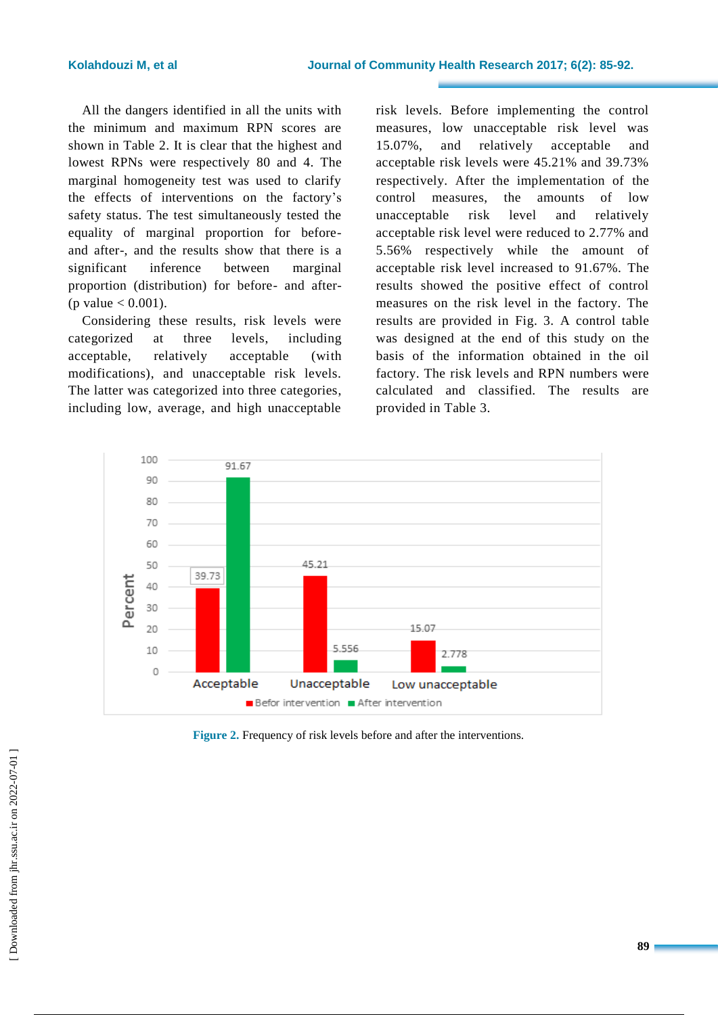All the dangers identified in all the units with the minimum and maximum RPN scores are shown in Table 2. It is clear that the highest and lowest RPNs were respectively 80 and 4. The marginal homogeneity test was used to clarify the effects of interventions on the factory's safety status. The test simultaneously tested the equality of marginal proportion for beforeand after-, and the results show that there is a significant inference between marginal proportion (distribution) for before- and after- (p value  $< 0.001$ ).

Considering these results, risk levels were categorized at three levels, including acceptable, relatively acceptable (with modifications), and unacceptable risk levels. The latter was categorized into three categories, including low, average, and high unacceptable risk levels. Before implementing the control measures, low unacceptable risk level was 15.07%, and relatively acceptable and acceptable risk levels were 45.21% and 39.73% respectively. After the implementation of the control measures, the amounts of low unacceptable risk level and relatively acceptable risk level were reduced to 2.77% and 5.56% respectively while the amount of acceptable risk level increased to 91.67%. The results showed the positive effect of control measures on the risk level in the factory. The results are provided in Fig. 3. A control table was designed at the end of this study on the basis of the information obtained in the oil factory. The risk levels and RPN numbers were calculated and classified. The results are provided in Table 3.



**Figure 2.** Frequency of risk levels before and after the interventions.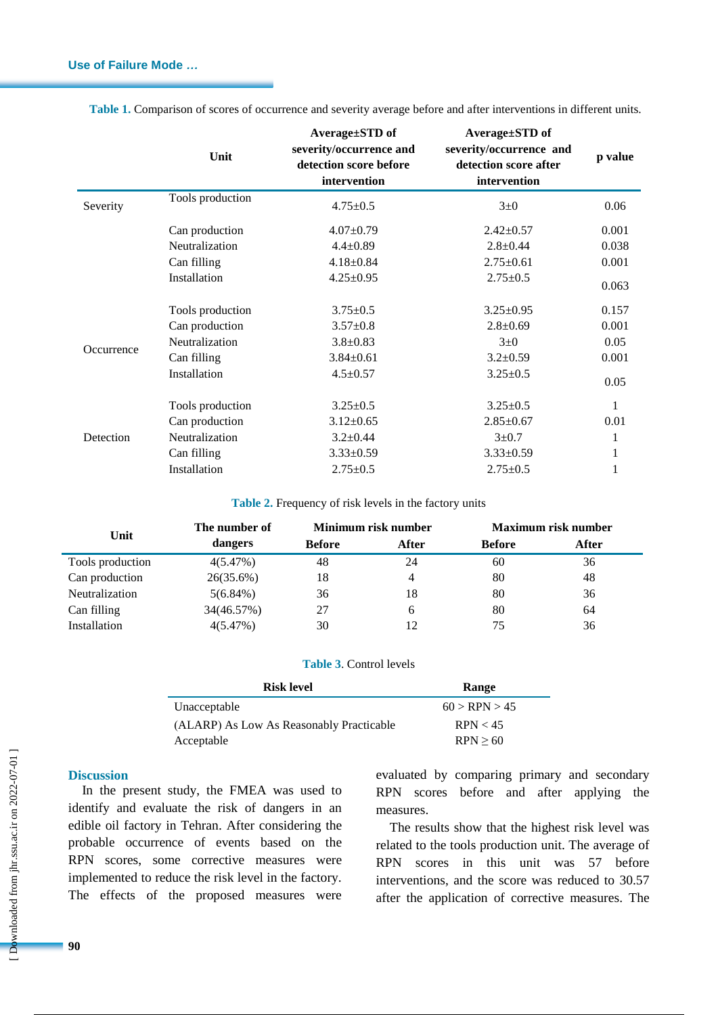|            | Unit             | Average±STD of<br>severity/occurrence and<br>detection score before<br>intervention | Average±STD of<br>severity/occurrence and<br>detection score after<br>intervention | p value |
|------------|------------------|-------------------------------------------------------------------------------------|------------------------------------------------------------------------------------|---------|
| Severity   | Tools production | $4.75 \pm 0.5$                                                                      | $3\pm0$                                                                            | 0.06    |
|            | Can production   | $4.07 \pm 0.79$                                                                     | $2.42 \pm 0.57$                                                                    | 0.001   |
|            | Neutralization   | $4.4 \pm 0.89$                                                                      | $2.8 \pm 0.44$                                                                     | 0.038   |
|            | Can filling      | $4.18 \pm 0.84$                                                                     | $2.75 \pm 0.61$                                                                    | 0.001   |
|            | Installation     | $4.25 \pm 0.95$                                                                     | $2.75 \pm 0.5$                                                                     | 0.063   |
|            | Tools production | $3.75 \pm 0.5$                                                                      | $3.25 \pm 0.95$                                                                    | 0.157   |
| Occurrence | Can production   | $3.57 \pm 0.8$                                                                      | $2.8 \pm 0.69$                                                                     | 0.001   |
|            | Neutralization   | $3.8 \pm 0.83$                                                                      | $3\pm0$                                                                            | 0.05    |
|            | Can filling      | $3.84 \pm 0.61$                                                                     | $3.2 \pm 0.59$                                                                     | 0.001   |
|            | Installation     | $4.5 \pm 0.57$                                                                      | $3.25 \pm 0.5$                                                                     | 0.05    |
| Detection  | Tools production | $3.25 \pm 0.5$                                                                      | $3.25 \pm 0.5$                                                                     | 1       |
|            | Can production   | $3.12 \pm 0.65$                                                                     | $2.85 \pm 0.67$                                                                    | 0.01    |
|            | Neutralization   | $3.2 \pm 0.44$                                                                      | $3 + 0.7$                                                                          | 1       |
|            | Can filling      | $3.33 \pm 0.59$                                                                     | $3.33 \pm 0.59$                                                                    | 1       |
|            | Installation     | $2.75 \pm 0.5$                                                                      | $2.75 \pm 0.5$                                                                     | 1       |

**Table 1.** Comparison of scores of occurrence and severity average before and after interventions in different units.

**Table 2.** Frequency of risk levels in the factory units

| Unit             | The number of | Minimum risk number |       | <b>Maximum risk number</b> |       |
|------------------|---------------|---------------------|-------|----------------------------|-------|
|                  | dangers       | <b>Before</b>       | After | <b>Before</b>              | After |
| Tools production | 4(5.47%)      | 48                  | 24    | 60                         | 36    |
| Can production   | 26(35.6%)     | 18                  | 4     | 80                         | 48    |
| Neutralization   | $5(6.84\%)$   | 36                  | 18    | 80                         | 36    |
| Can filling      | 34(46.57%)    | 27                  | 6     | 80                         | 64    |
| Installation     | 4(5.47%)      | 30                  | 12    | 75                         | 36    |

### **Table 3**. Control levels

| <b>Risk level</b>                        | Range         |  |  |
|------------------------------------------|---------------|--|--|
| Unacceptable                             | 60 > RPN > 45 |  |  |
| (ALARP) As Low As Reasonably Practicable | RPN < 45      |  |  |
| Acceptable                               | RPN > 60      |  |  |

#### **Discussion**

In the present study, the FMEA was used to identify and evaluate the risk of dangers in an edible oil factory in Tehran. After considering the probable occurrence of events based on the RPN scores, some corrective measures were implemented to reduce the risk level in the factory. The effects of the proposed measures were evaluated by comparing primary and secondary RPN scores before and after applying the measures.

The results show that the highest risk level was related to the tools production unit. The average of RPN scores in this unit was 57 before interventions, and the score was reduced to 30.57 after the application of corrective measures. The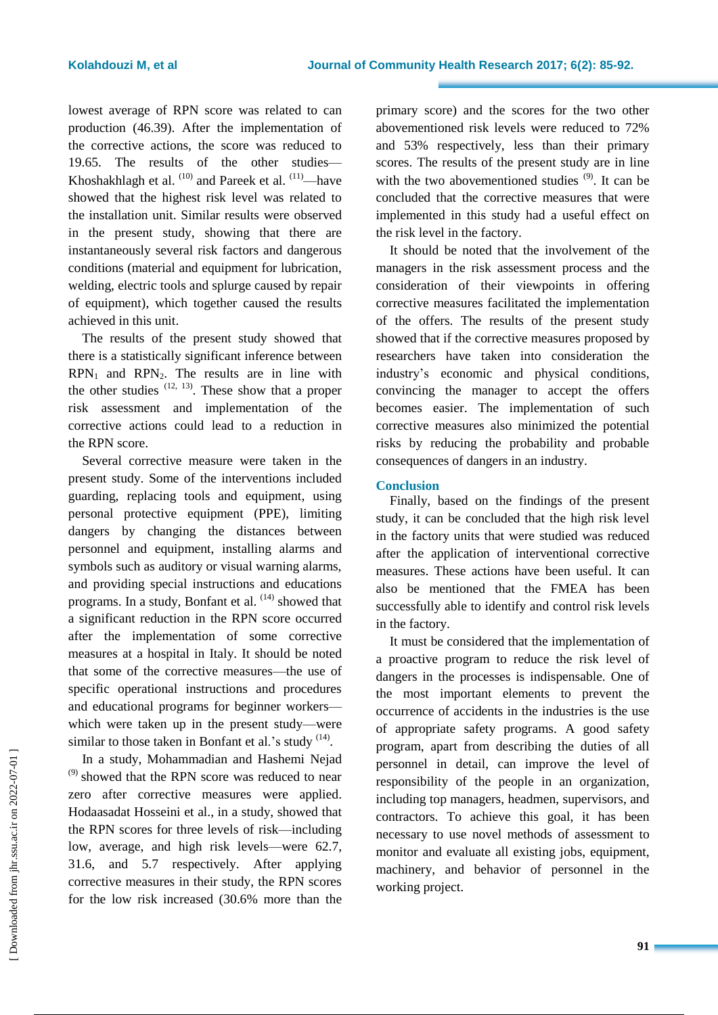lowest average of RPN score was related to can production (46.39). After the implementation of the corrective actions, the score was reduced to 19.65. The results of the other studies— Khoshakhlagh et al.  $(10)$  and Pareek et al.  $(11)$ —have showed that the highest risk level was related to the installation unit. Similar results were observed in the present study, showing that there are instantaneously several risk factors and dangerous conditions (material and equipment for lubrication, welding, electric tools and splurge caused by repair of equipment), which together caused the results achieved in this unit.

The results of the present study showed that there is a statistically significant inference between  $RPN<sub>1</sub>$  and  $RPN<sub>2</sub>$ . The results are in line with the other studies  $(12, 13)$ . These show that a proper risk assessment and implementation of the corrective actions could lead to a reduction in the RPN score.

Several corrective measure were taken in the present study. Some of the interventions included guarding, replacing tools and equipment, using personal protective equipment (PPE), limiting dangers by changing the distances between personnel and equipment, installing alarms and symbols such as auditory or visual warning alarms, and providing special instructions and educations programs. In a study, Bonfant et al. <sup>(14)</sup> showed that a significant reduction in the RPN score occurred after the implementation of some corrective measures at a hospital in Italy. It should be noted that some of the corrective measures—the use of specific operational instructions and procedures and educational programs for beginner workers which were taken up in the present study—were similar to those taken in Bonfant et al.'s study  $(14)$ .

In a study, Mohammadian and Hashemi Nejad <sup>(9)</sup> showed that the RPN score was reduced to near zero after corrective measures were applied. Hodaasadat Hosseini et al., in a study, showed that the RPN scores for three levels of risk—including low, average, and high risk levels—were 62.7, 31.6, and 5.7 respectively. After applying corrective measures in their study, the RPN scores for the low risk increased (30.6% more than the

primary score) and the scores for the two other abovementioned risk levels were reduced to 72% and 53% respectively, less than their primary scores. The results of the present study are in line with the two abovementioned studies  $(9)$ . It can be concluded that the corrective measures that were implemented in this study had a useful effect on the risk level in the factory.

It should be noted that the involvement of the managers in the risk assessment process and the consideration of their viewpoints in offering corrective measures facilitated the implementation of the offers. The results of the present study showed that if the corrective measures proposed by researchers have taken into consideration the industry's economic and physical conditions, convincing the manager to accept the offers becomes easier. The implementation of such corrective measures also minimized the potential risks by reducing the probability and probable consequences of dangers in an industry.

### **Conclusion**

Finally, based on the findings of the present study, it can be concluded that the high risk level in the factory units that were studied was reduced after the application of interventional corrective measures. These actions have been useful. It can also be mentioned that the FMEA has been successfully able to identify and control risk levels in the factory.

It must be considered that the implementation of a proactive program to reduce the risk level of dangers in the processes is indispensable. One of the most important elements to prevent the occurrence of accidents in the industries is the use of appropriate safety programs. A good safety program, apart from describing the duties of all personnel in detail, can improve the level of responsibility of the people in an organization, including top managers, headmen, supervisors, and contractors. To achieve this goal, it has been necessary to use novel methods of assessment to monitor and evaluate all existing jobs, equipment, machinery, and behavior of personnel in the working project.